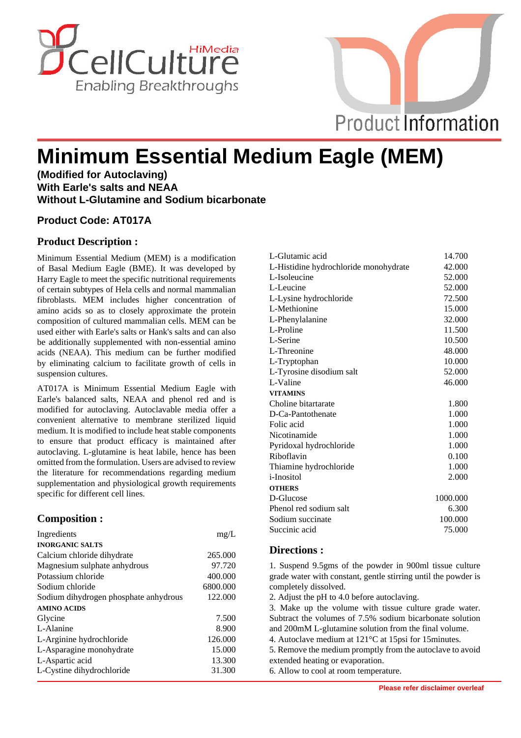



# **Minimum Essential Medium Eagle (MEM)**

**(Modified for Autoclaving) With Earle's salts and NEAA Without L-Glutamine and Sodium bicarbonate**

### **Product Code: AT017A**

## **Product Description :**

Minimum Essential Medium (MEM) is a modification of Basal Medium Eagle (BME). It was developed by Harry Eagle to meet the specific nutritional requirements of certain subtypes of Hela cells and normal mammalian fibroblasts. MEM includes higher concentration of amino acids so as to closely approximate the protein composition of cultured mammalian cells. MEM can be used either with Earle's salts or Hank's salts and can also be additionally supplemented with non-essential amino acids (NEAA). This medium can be further modified by eliminating calcium to facilitate growth of cells in suspension cultures.

AT017A is Minimum Essential Medium Eagle with Earle's balanced salts, NEAA and phenol red and is modified for autoclaving. Autoclavable media offer a convenient alternative to membrane sterilized liquid medium. It is modified to include heat stable components to ensure that product efficacy is maintained after autoclaving. L-glutamine is heat labile, hence has been omitted from the formulation. Users are advised to review the literature for recommendations regarding medium supplementation and physiological growth requirements specific for different cell lines.

## **Composition :**

| Ingredients                           | mg/L     |
|---------------------------------------|----------|
| <b>INORGANIC SALTS</b>                |          |
| Calcium chloride dihydrate            | 265.000  |
| Magnesium sulphate anhydrous          | 97.720   |
| Potassium chloride                    | 400.000  |
| Sodium chloride                       | 6800.000 |
| Sodium dihydrogen phosphate anhydrous | 122.000  |
| <b>AMINO ACIDS</b>                    |          |
| Glycine                               | 7.500    |
| L-Alanine                             | 8.900    |
| L-Arginine hydrochloride              | 126.000  |
| L-Asparagine monohydrate              | 15.000   |
| L-Aspartic acid                       | 13.300   |
| L-Cystine dihydrochloride             | 31.300   |

| L-Glutamic acid                       | 14.700   |
|---------------------------------------|----------|
| L-Histidine hydrochloride monohydrate | 42.000   |
| L-Isoleucine                          | 52.000   |
| L-Leucine                             | 52.000   |
| L-Lysine hydrochloride                | 72.500   |
| L-Methionine                          | 15.000   |
| L-Phenylalanine                       | 32.000   |
| L-Proline                             | 11.500   |
| L-Serine                              | 10.500   |
| L-Threonine                           | 48.000   |
| L-Tryptophan                          | 10.000   |
| L-Tyrosine disodium salt              | 52.000   |
| L-Valine                              | 46.000   |
| <b>VITAMINS</b>                       |          |
| Choline bitartarate                   | 1.800    |
| D-Ca-Pantothenate                     | 1.000    |
| Folic acid                            | 1.000    |
| Nicotinamide                          | 1.000    |
| Pyridoxal hydrochloride               | 1.000    |
| Riboflavin                            | 0.100    |
| Thiamine hydrochloride                | 1.000    |
| <i>i</i> -Inositol                    | 2.000    |
| <b>OTHERS</b>                         |          |
| D-Glucose                             | 1000.000 |
| Phenol red sodium salt                | 6.300    |
| Sodium succinate                      | 100.000  |
| Succinic acid                         | 75.000   |
|                                       |          |

#### **Directions :**

1. Suspend 9.5gms of the powder in 900ml tissue culture grade water with constant, gentle stirring until the powder is completely dissolved.

2. Adjust the pH to 4.0 before autoclaving.

3. Make up the volume with tissue culture grade water. Subtract the volumes of 7.5% sodium bicarbonate solution and 200mM L-glutamine solution from the final volume. 4. Autoclave medium at 121°C at 15psi for 15minutes.

5. Remove the medium promptly from the autoclave to avoid extended heating or evaporation.

6. Allow to cool at room temperature.